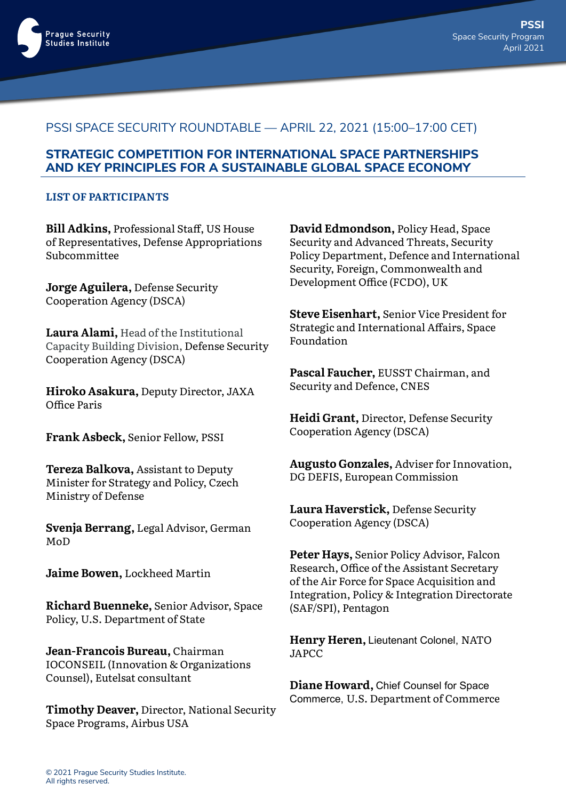

## PSSI SPACE SECURITY ROUNDTABLE — APRIL 22, 2021 (15:00–17:00 CET)

## **STRATEGIC COMPETITION FOR INTERNATIONAL SPACE PARTNERSHIPS AND KEY PRINCIPLES FOR A SUSTAINABLE GLOBAL SPACE ECONOMY**

## **LIST OF PARTICIPANTS**

**Bill Adkins,** Professional Staff, US House of Representatives, Defense Appropriations Subcommittee

**Jorge Aguilera,** Defense Security Cooperation Agency (DSCA)

**Laura Alami,** Head of the Institutional Capacity Building Division, Defense Security Cooperation Agency (DSCA)

**Hiroko Asakura,** Deputy Director, JAXA Office Paris

**Frank Asbeck,** Senior Fellow, PSSI

**Tereza Balkova,** Assistant to Deputy Minister for Strategy and Policy, Czech Ministry of Defense

**Svenja Berrang,** Legal Advisor, German MoD

**Jaime Bowen,** Lockheed Martin

**Richard Buenneke,** Senior Advisor, Space Policy, U.S. Department of State

**Jean-Francois Bureau,** Chairman IOCONSEIL (Innovation & Organizations Counsel), Eutelsat consultant

**Timothy Deaver,** Director, National Security Space Programs, Airbus USA

**David Edmondson,** Policy Head, Space Security and Advanced Threats, Security Policy Department, Defence and International Security, Foreign, Commonwealth and Development Office (FCDO), UK

**Steve Eisenhart,** Senior Vice President for Strategic and International Affairs, Space Foundation

**Pascal Faucher,** EUSST Chairman, and Security and Defence, CNES

**Heidi Grant,** Director, Defense Security Cooperation Agency (DSCA)

**Augusto Gonzales,** Adviser for Innovation, DG DEFIS, European Commission

**Laura Haverstick,** Defense Security Cooperation Agency (DSCA)

**Peter Hays,** Senior Policy Advisor, Falcon Research, Office of the Assistant Secretary of the Air Force for Space Acquisition and Integration, Policy & Integration Directorate (SAF/SPI), Pentagon

**Henry Heren,** Lieutenant Colonel, NATO JAPCC

**Diane Howard,** Chief Counsel for Space Commerce, U.S. Department of Commerce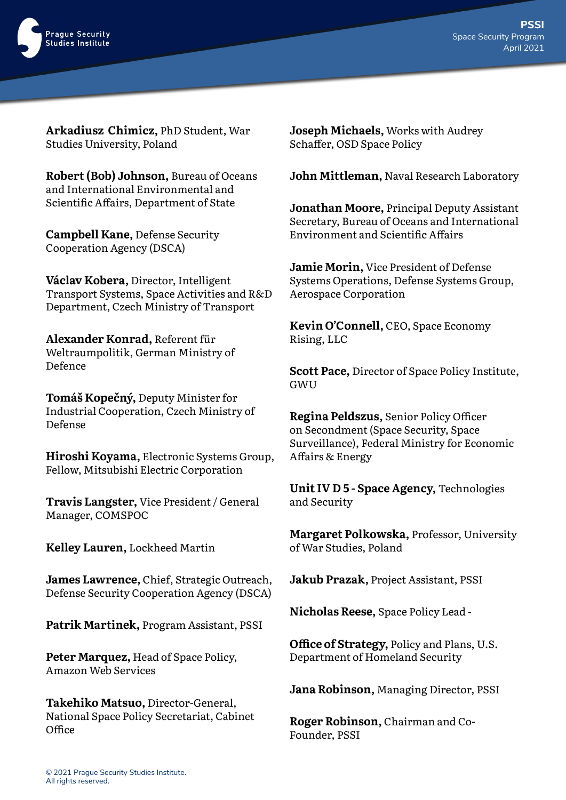

**Arkadiusz Chimicz,** PhD Student, War Studies University, Poland

**Robert (Bob) Johnson,** Bureau of Oceans and International Environmental and Scientific Affairs, Department of State

**Campbell Kane,** Defense Security Cooperation Agency (DSCA)

**Václav Kobera,** Director, Intelligent Transport Systems, Space Activities and R&D Department, Czech Ministry of Transport

**Alexander Konrad,** Referent für Weltraumpolitik, German Ministry of Defence

**Tomáš Kopečný,** Deputy Minister for Industrial Cooperation, Czech Ministry of Defense

**Hiroshi Koyama,** Electronic Systems Group, Fellow, Mitsubishi Electric Corporation

**Travis Langster,** Vice President / General Manager, COMSPOC

**Kelley Lauren,** Lockheed Martin

**James Lawrence,** Chief, Strategic Outreach, Defense Security Cooperation Agency (DSCA)

**Patrik Martinek,** Program Assistant, PSSI

**Peter Marquez,** Head of Space Policy, Amazon Web Services

**Takehiko Matsuo,** Director-General, National Space Policy Secretariat, Cabinet Office

**Joseph Michaels,** Works with Audrey Schaffer, OSD Space Policy

**John Mittleman,** Naval Research Laboratory

**Jonathan Moore,** Principal Deputy Assistant Secretary, Bureau of Oceans and International Environment and Scientific Affairs

**Jamie Morin,** Vice President of Defense Systems Operations, Defense Systems Group, Aerospace Corporation

**Kevin O'Connell,** CEO, Space Economy Rising, LLC

**Scott Pace,** Director of Space Policy Institute, **GWU** 

**Regina Peldszus,** Senior Policy Officer on Secondment (Space Security, Space Surveillance), Federal Ministry for Economic Affairs & Energy

**Unit IV D 5 - Space Agency,** Technologies and Security

**Margaret Polkowska,** Professor, University of War Studies, Poland

**Jakub Prazak,** Project Assistant, PSSI

**Nicholas Reese,** Space Policy Lead -

**Office of Strategy,** Policy and Plans, U.S. Department of Homeland Security

**Jana Robinson,** Managing Director, PSSI

**Roger Robinson,** Chairman and Co-Founder, PSSI